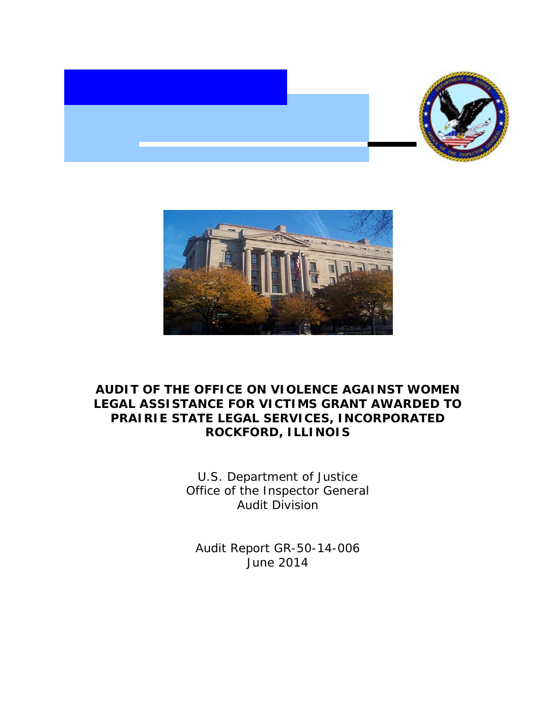



## **AUDIT OF THE OFFICE ON VIOLENCE AGAINST WOMEN LEGAL ASSISTANCE FOR VICTIMS GRANT AWARDED TO PRAIRIE STATE LEGAL SERVICES, INCORPORATED ROCKFORD, ILLINOIS**

 U.S. Department of Justice Office of the Inspector General Audit Division

Audit Report GR-50-14-006 June 2014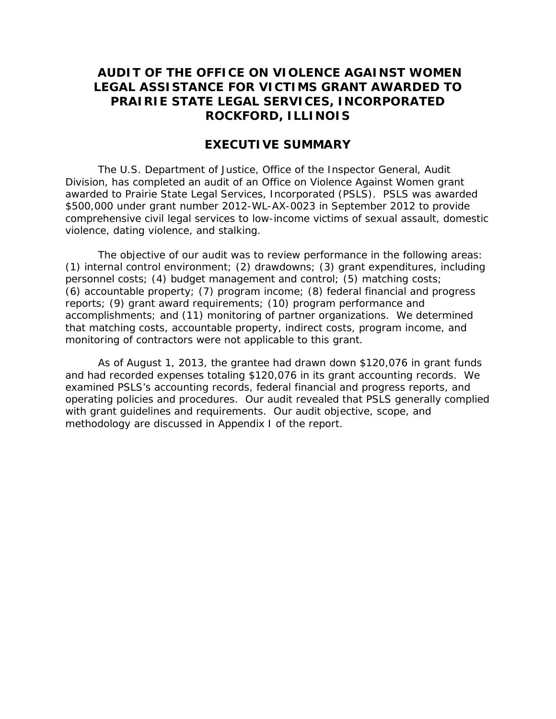## **AUDIT OF THE OFFICE ON VIOLENCE AGAINST WOMEN LEGAL ASSISTANCE FOR VICTIMS GRANT AWARDED TO PRAIRIE STATE LEGAL SERVICES, INCORPORATED ROCKFORD, ILLINOIS**

### **EXECUTIVE SUMMARY**

 \$500,000 under grant number 2012-WL-AX-0023 in September 2012 to provide The U.S. Department of Justice, Office of the Inspector General, Audit Division, has completed an audit of an Office on Violence Against Women grant awarded to Prairie State Legal Services, Incorporated (PSLS). PSLS was awarded comprehensive civil legal services to low-income victims of sexual assault, domestic violence, dating violence, and stalking.

 The objective of our audit was to review performance in the following areas: (1) internal control environment; (2) drawdowns; (3) grant expenditures, including (6) accountable property; (7) program income; (8) federal financial and progress personnel costs; (4) budget management and control; (5) matching costs; reports; (9) grant award requirements; (10) program performance and accomplishments; and (11) monitoring of partner organizations. We determined that matching costs, accountable property, indirect costs, program income, and monitoring of contractors were not applicable to this grant.

 As of August 1, 2013, the grantee had drawn down \$120,076 in grant funds and had recorded expenses totaling \$120,076 in its grant accounting records. We operating policies and procedures. Our audit revealed that PSLS generally complied with grant guidelines and requirements. Our audit objective, scope, and examined PSLS's accounting records, federal financial and progress reports, and methodology are discussed in Appendix I of the report.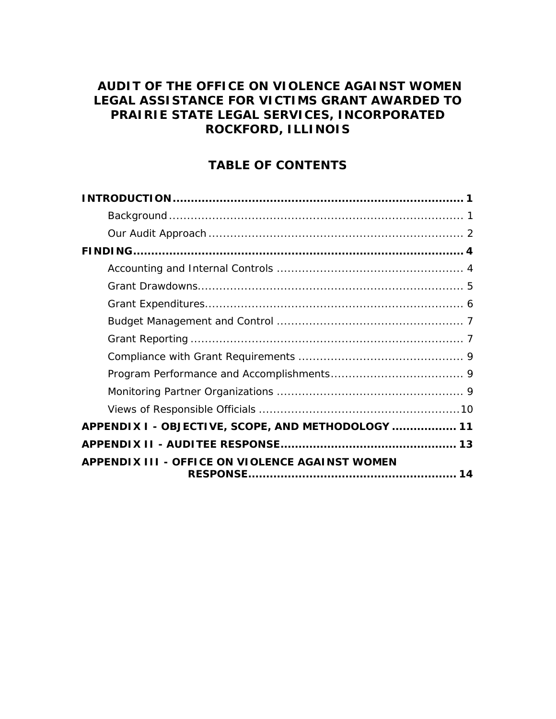## **AUDIT OF THE OFFICE ON VIOLENCE AGAINST WOMEN LEGAL ASSISTANCE FOR VICTIMS GRANT AWARDED TO PRAIRIE STATE LEGAL SERVICES, INCORPORATED ROCKFORD, ILLINOIS**

## **TABLE OF CONTENTS**

| APPENDIX I - OBJECTIVE, SCOPE, AND METHODOLOGY  11 |
|----------------------------------------------------|
|                                                    |
| APPENDIX III - OFFICE ON VIOLENCE AGAINST WOMEN    |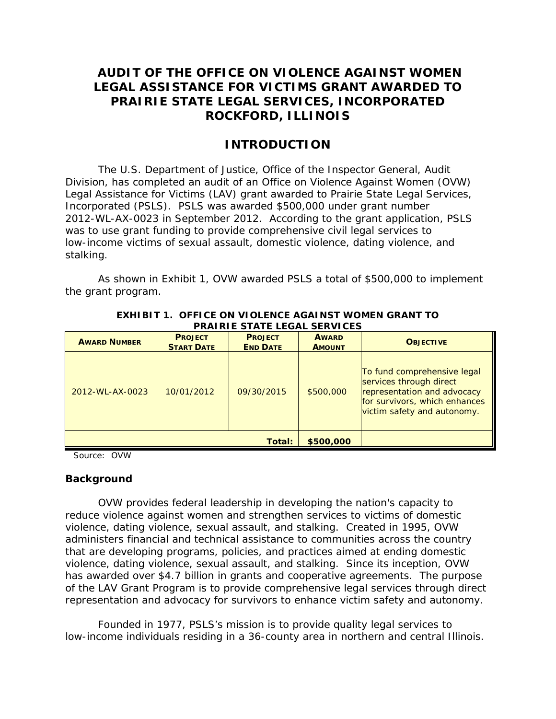## <span id="page-3-0"></span>**AUDIT OF THE OFFICE ON VIOLENCE AGAINST WOMEN LEGAL ASSISTANCE FOR VICTIMS GRANT AWARDED TO PRAIRIE STATE LEGAL SERVICES, INCORPORATED ROCKFORD, ILLINOIS**

## **INTRODUCTION**

 Division, has completed an audit of an Office on Violence Against Women (OVW) stalking. The U.S. Department of Justice, Office of the Inspector General, Audit Legal Assistance for Victims (LAV) grant awarded to Prairie State Legal Services, Incorporated (PSLS). PSLS was awarded \$500,000 under grant number 2012-WL-AX-0023 in September 2012. According to the grant application, PSLS was to use grant funding to provide comprehensive civil legal services to low-income victims of sexual assault, domestic violence, dating violence, and

 stalking. As shown in Exhibit 1, OVW awarded PSLS a total of \$500,000 to implement the grant program.

| <b>AWARD NUMBER</b> | <b>PROJECT</b><br><b>START DATE</b> | <b>PROJECT</b><br><b>END DATE</b> | <b>AWARD</b><br><b>AMOUNT</b> | <b>OBJECTIVE</b>                                                                                                                                      |
|---------------------|-------------------------------------|-----------------------------------|-------------------------------|-------------------------------------------------------------------------------------------------------------------------------------------------------|
| 2012-WL-AX-0023     | 10/01/2012                          | 09/30/2015                        | \$500,000                     | To fund comprehensive legal<br>services through direct<br>representation and advocacy<br>for survivors, which enhances<br>victim safety and autonomy. |
| Total:              |                                     |                                   | \$500,000                     |                                                                                                                                                       |

 **EXHIBIT 1. OFFICE ON VIOLENCE AGAINST WOMEN GRANT TO PRAIRIE STATE LEGAL SERVICES** 

Source: OVW

#### <span id="page-3-1"></span>**Background**

 OVW provides federal leadership in developing the nation's capacity to violence, dating violence, sexual assault, and stalking. Created in 1995, OVW violence, dating violence, sexual assault, and stalking. Since its inception, OVW has awarded over \$4.7 billion in grants and cooperative agreements. The purpose representation and advocacy for survivors to enhance victim safety and autonomy. reduce violence against women and strengthen services to victims of domestic administers financial and technical assistance to communities across the country that are developing programs, policies, and practices aimed at ending domestic of the LAV Grant Program is to provide comprehensive legal services through direct

 low-income individuals residing in a 36-county area in northern and central Illinois. Founded in 1977, PSLS's mission is to provide quality legal services to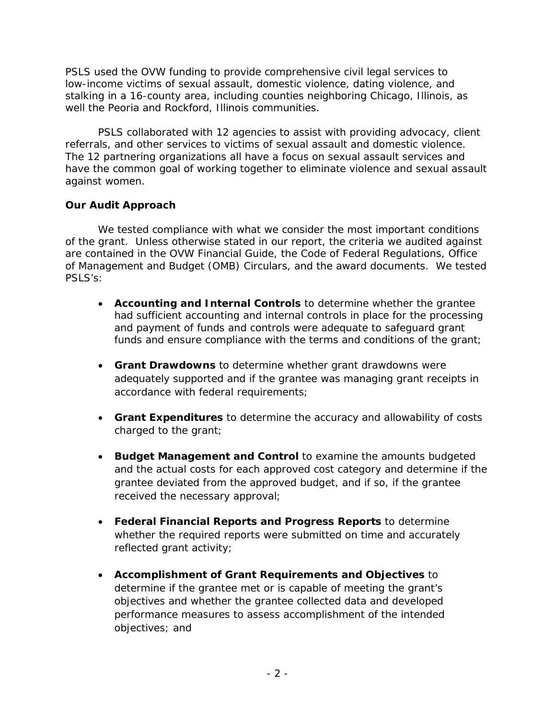PSLS used the OVW funding to provide comprehensive civil legal services to low-income victims of sexual assault, domestic violence, dating violence, and stalking in a 16-county area, including counties neighboring Chicago, Illinois, as well the Peoria and Rockford, Illinois communities.

referrals, and other services to victims of sexual assault and domestic violence. have the common goal of working together to eliminate violence and sexual assault against women. PSLS collaborated with 12 agencies to assist with providing advocacy, client The 12 partnering organizations all have a focus on sexual assault services and

## <span id="page-4-0"></span>**Our Audit Approach**

 of the grant. Unless otherwise stated in our report, the criteria we audited against of Management and Budget (OMB) Circulars, and the award documents. We tested We tested compliance with what we consider the most important conditions are contained in the OVW Financial Guide, the Code of Federal Regulations, Office PSLS's:

- • **Accounting and Internal Controls** to determine whether the grantee funds and ensure compliance with the terms and conditions of the grant; had sufficient accounting and internal controls in place for the processing and payment of funds and controls were adequate to safeguard grant
- • **Grant Drawdowns** to determine whether grant drawdowns were adequately supported and if the grantee was managing grant receipts in accordance with federal requirements;
- • **Grant Expenditures** to determine the accuracy and allowability of costs charged to the grant;
- and the actual costs for each approved cost category and determine if the grantee deviated from the approved budget, and if so, if the grantee • **Budget Management and Control** to examine the amounts budgeted received the necessary approval;
- • **Federal Financial Reports and Progress Reports** to determine whether the required reports were submitted on time and accurately reflected grant activity;
- • **Accomplishment of Grant Requirements and Objectives** to determine if the grantee met or is capable of meeting the grant's objectives and whether the grantee collected data and developed performance measures to assess accomplishment of the intended objectives; and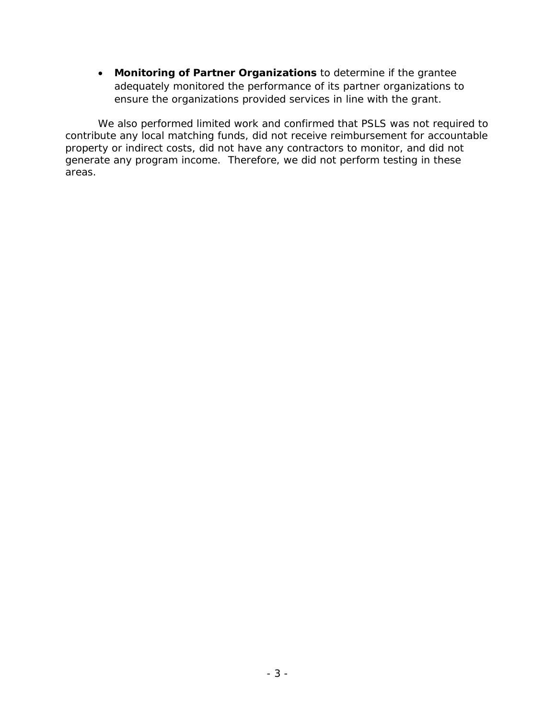ensure the organizations provided services in line with the grant. • **Monitoring of Partner Organizations** to determine if the grantee adequately monitored the performance of its partner organizations to

 contribute any local matching funds, did not receive reimbursement for accountable generate any program income. Therefore, we did not perform testing in these areas. We also performed limited work and confirmed that PSLS was not required to property or indirect costs, did not have any contractors to monitor, and did not areas. - 3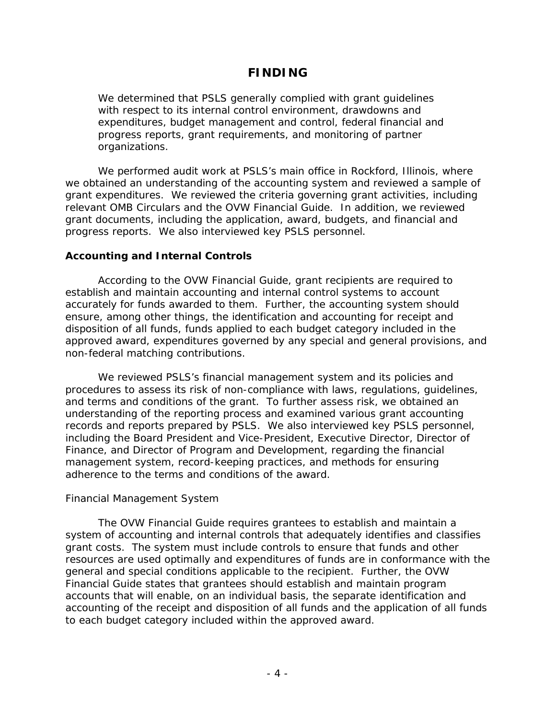## **FINDING**

<span id="page-6-0"></span>We determined that PSLS generally complied with grant guidelines with respect to its internal control environment, drawdowns and expenditures, budget management and control, federal financial and progress reports, grant requirements, and monitoring of partner organizations.

 grant expenditures. We reviewed the criteria governing grant activities, including relevant OMB Circulars and the OVW Financial Guide. In addition, we reviewed We performed audit work at PSLS's main office in Rockford, Illinois, where we obtained an understanding of the accounting system and reviewed a sample of grant documents, including the application, award, budgets, and financial and progress reports. We also interviewed key PSLS personnel.

#### <span id="page-6-1"></span>**Accounting and Internal Controls**

non-federal matching contributions. According to the OVW Financial Guide, grant recipients are required to establish and maintain accounting and internal control systems to account accurately for funds awarded to them. Further, the accounting system should ensure, among other things, the identification and accounting for receipt and disposition of all funds, funds applied to each budget category included in the approved award, expenditures governed by any special and general provisions, and

 non-federal matching contributions. We reviewed PSLS's financial management system and its policies and and terms and conditions of the grant. To further assess risk, we obtained an understanding of the reporting process and examined various grant accounting records and reports prepared by PSLS. We also interviewed key PSLS personnel, adherence to the terms and conditions of the award. procedures to assess its risk of non-compliance with laws, regulations, guidelines, including the Board President and Vice-President, Executive Director, Director of Finance, and Director of Program and Development, regarding the financial management system, record-keeping practices, and methods for ensuring

#### *Financial Management System*

The OVW Financial Guide requires grantees to establish and maintain a system of accounting and internal controls that adequately identifies and classifies grant costs. The system must include controls to ensure that funds and other resources are used optimally and expenditures of funds are in conformance with the general and special conditions applicable to the recipient. Further, the OVW Financial Guide states that grantees should establish and maintain program accounts that will enable, on an individual basis, the separate identification and accounting of the receipt and disposition of all funds and the application of all funds to each budget category included within the approved award.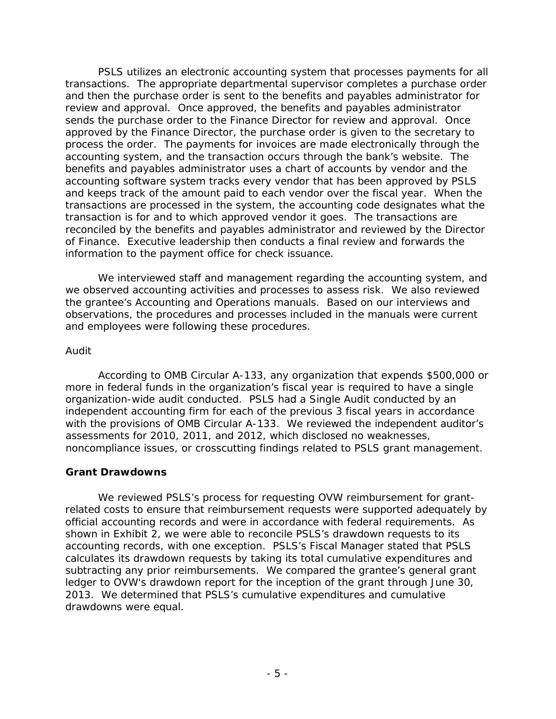PSLS utilizes an electronic accounting system that processes payments for all transactions. The appropriate departmental supervisor completes a purchase order approved by the Finance Director, the purchase order is given to the secretary to process the order. The payments for invoices are made electronically through the accounting system, and the transaction occurs through the bank's website. The and keeps track of the amount paid to each vendor over the fiscal year. When the information to the payment office for check issuance. and then the purchase order is sent to the benefits and payables administrator for review and approval. Once approved, the benefits and payables administrator sends the purchase order to the Finance Director for review and approval. Once benefits and payables administrator uses a chart of accounts by vendor and the accounting software system tracks every vendor that has been approved by PSLS transactions are processed in the system, the accounting code designates what the transaction is for and to which approved vendor it goes. The transactions are reconciled by the benefits and payables administrator and reviewed by the Director of Finance. Executive leadership then conducts a final review and forwards the

 we observed accounting activities and processes to assess risk. We also reviewed and employees were following these procedures. We interviewed staff and management regarding the accounting system, and the grantee's Accounting and Operations manuals. Based on our interviews and observations, the procedures and processes included in the manuals were current

#### *Audit*

 According to OMB Circular A-133, any organization that expends \$500,000 or more in federal funds in the organization's fiscal year is required to have a single organization-wide audit conducted. PSLS had a Single Audit conducted by an independent accounting firm for each of the previous 3 fiscal years in accordance with the provisions of OMB Circular A-133. We reviewed the independent auditor's noncompliance issues, or crosscutting findings related to PSLS grant management. assessments for 2010, 2011, and 2012, which disclosed no weaknesses,

#### <span id="page-7-0"></span>**Grant Drawdowns**

 official accounting records and were in accordance with federal requirements. As shown in Exhibit 2, we were able to reconcile PSLS's drawdown requests to its accounting records, with one exception. PSLS's Fiscal Manager stated that PSLS 2013. We determined that PSLS's cumulative expenditures and cumulative We reviewed PSLS's process for requesting OVW reimbursement for grantrelated costs to ensure that reimbursement requests were supported adequately by calculates its drawdown requests by taking its total cumulative expenditures and subtracting any prior reimbursements. We compared the grantee's general grant ledger to OVW's drawdown report for the inception of the grant through June 30, drawdowns were equal.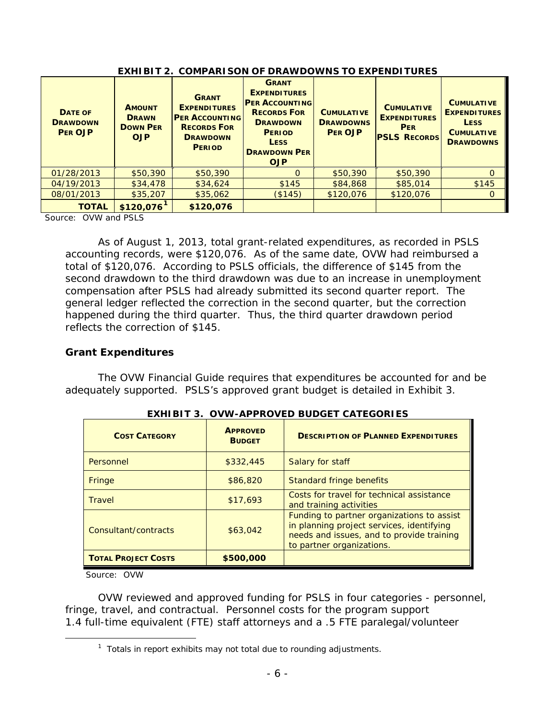| <b>DATE OF</b><br><b>DRAWDOWN</b><br><b>PER OJP</b> | <b>AMOUNT</b><br><b>DRAWN</b><br><b>DOWN PER</b><br><b>OJP</b> | <b>GRANT</b><br><b>EXPENDITURES</b><br><b>PER ACCOUNTING</b><br><b>RECORDS FOR</b><br><b>DRAWDOWN</b><br><b>PERIOD</b> | <b>GRANT</b><br><b>EXPENDITURES</b><br><b>PER ACCOUNTING</b><br><b>RECORDS FOR</b><br><b>DRAWDOWN</b><br><b>PERIOD</b><br><b>LESS</b><br><b>DRAWDOWN PER</b><br><b>OJP</b> | <b>CUMULATIVE</b><br><b>DRAWDOWNS</b><br><b>PER OJP</b> | <b>CUMULATIVE</b><br><b>EXPENDITURES</b><br><b>PER</b><br><b>PSLS RECORDS</b> | <b>CUMULATIVE</b><br><b>EXPENDITURES</b><br><b>LESS</b><br><b>CUMULATIVE</b><br><b>DRAWDOWNS</b> |
|-----------------------------------------------------|----------------------------------------------------------------|------------------------------------------------------------------------------------------------------------------------|----------------------------------------------------------------------------------------------------------------------------------------------------------------------------|---------------------------------------------------------|-------------------------------------------------------------------------------|--------------------------------------------------------------------------------------------------|
| 01/28/2013                                          | \$50,390                                                       | \$50,390                                                                                                               | O                                                                                                                                                                          | \$50,390                                                | \$50,390                                                                      | $\Omega$                                                                                         |
| 04/19/2013                                          | \$34,478                                                       | \$34,624                                                                                                               | \$145                                                                                                                                                                      | \$84,868                                                | \$85,014                                                                      | \$145                                                                                            |
| 08/01/2013                                          | \$35,207                                                       | \$35,062                                                                                                               | (\$145)                                                                                                                                                                    | \$120,076                                               | \$120,076                                                                     | $\Omega$                                                                                         |
| <b>TOTAL</b>                                        | $$120,076$ <sup>1</sup>                                        | \$120,076                                                                                                              |                                                                                                                                                                            |                                                         |                                                                               |                                                                                                  |

#### **EXHIBIT 2. COMPARISON OF DRAWDOWNS TO EXPENDITURES**

Source: OVW and PSLS

 compensation after PSLS had already submitted its second quarter report. The happened during the third quarter. Thus, the third quarter drawdown period reflects the correction of \$145. As of August 1, 2013, total grant-related expenditures, as recorded in PSLS accounting records, were \$120,076. As of the same date, OVW had reimbursed a total of \$120,076. According to PSLS officials, the difference of \$145 from the second drawdown to the third drawdown was due to an increase in unemployment general ledger reflected the correction in the second quarter, but the correction

### <span id="page-8-0"></span>**Grant Expenditures**

 The OVW Financial Guide requires that expenditures be accounted for and be adequately supported. PSLS's approved grant budget is detailed in Exhibit 3.

| <b>COST CATEGORY</b>       | <b>APPROVED</b><br><b>BUDGET</b> | <b>DESCRIPTION OF PLANNED EXPENDITURES</b>                                                                                                                        |
|----------------------------|----------------------------------|-------------------------------------------------------------------------------------------------------------------------------------------------------------------|
| Personnel                  | \$332,445                        | Salary for staff                                                                                                                                                  |
| Fringe                     | \$86,820                         | Standard fringe benefits                                                                                                                                          |
| <b>Travel</b>              | \$17,693                         | Costs for travel for technical assistance<br>and training activities                                                                                              |
| Consultant/contracts       | \$63,042                         | Funding to partner organizations to assist<br>in planning project services, identifying<br>needs and issues, and to provide training<br>to partner organizations. |
| <b>TOTAL PROJECT COSTS</b> | \$500,000                        |                                                                                                                                                                   |

 **EXHIBIT 3. OVW-APPROVED BUDGET CATEGORIES** 

Source: OVW

<span id="page-8-1"></span>-

 OVW reviewed and approved funding for PSLS in four categories - personnel, fringe, travel, and contractual. Personnel costs for the program support 1.4 full-time equivalent (FTE) staff attorneys and a .5 FTE paralegal/volunteer

 $1$  Totals in report exhibits may not total due to rounding adjustments.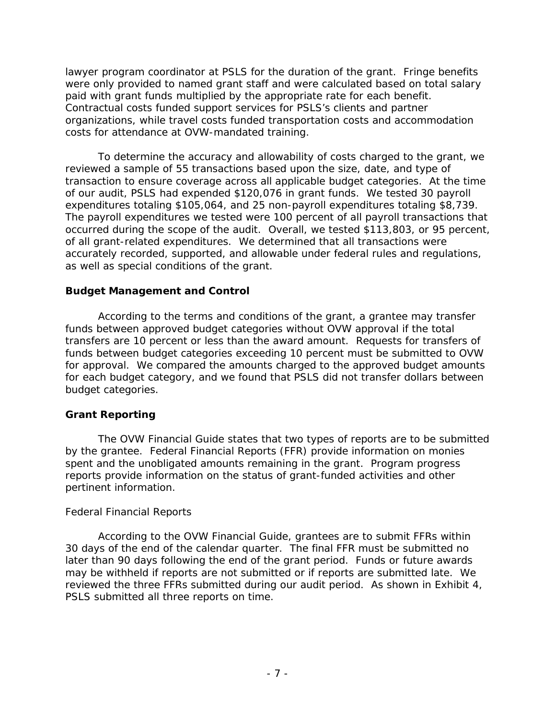paid with grant funds multiplied by the appropriate rate for each benefit. paid with grant funds multiplied by the appropriate rate for each benefit.<br>Contractual costs funded support services for PSLS's clients and partner costs for attendance at OVW-mandated training. lawyer program coordinator at PSLS for the duration of the grant. Fringe benefits were only provided to named grant staff and were calculated based on total salary organizations, while travel costs funded transportation costs and accommodation

 transaction to ensure coverage across all applicable budget categories. At the time of our audit, PSLS had expended \$120,076 in grant funds. We tested 30 payroll expenditures totaling \$105,064, and 25 non-payroll expenditures totaling \$8,739. expenditures totaling \$105,064, and 25 non-payroll expenditures totaling \$8,739.<br>The payroll expenditures we tested were 100 percent of all payroll transactions that occurred during the scope of the audit. Overall, we tested \$113,803, or 95 percent, of all grant-related expenditures. We determined that all transactions were accurately recorded, supported, and allowable under federal rules and regulations, To determine the accuracy and allowability of costs charged to the grant, we reviewed a sample of 55 transactions based upon the size, date, and type of as well as special conditions of the grant.

### <span id="page-9-0"></span>**Budget Management and Control**

 funds between budget categories exceeding 10 percent must be submitted to OVW for approval. We compared the amounts charged to the approved budget amounts According to the terms and conditions of the grant, a grantee may transfer funds between approved budget categories without OVW approval if the total transfers are 10 percent or less than the award amount. Requests for transfers of for each budget category, and we found that PSLS did not transfer dollars between budget categories.

## <span id="page-9-1"></span>**Grant Reporting**

 by the grantee. Federal Financial Reports (FFR) provide information on monies pertinent information. The OVW Financial Guide states that two types of reports are to be submitted spent and the unobligated amounts remaining in the grant. Program progress reports provide information on the status of grant-funded activities and other

#### *Federal Financial Reports*

 30 days of the end of the calendar quarter. The final FFR must be submitted no later than 90 days following the end of the grant period. Funds or future awards According to the OVW Financial Guide, grantees are to submit FFRs within may be withheld if reports are not submitted or if reports are submitted late. We reviewed the three FFRs submitted during our audit period. As shown in Exhibit 4, PSLS submitted all three reports on time.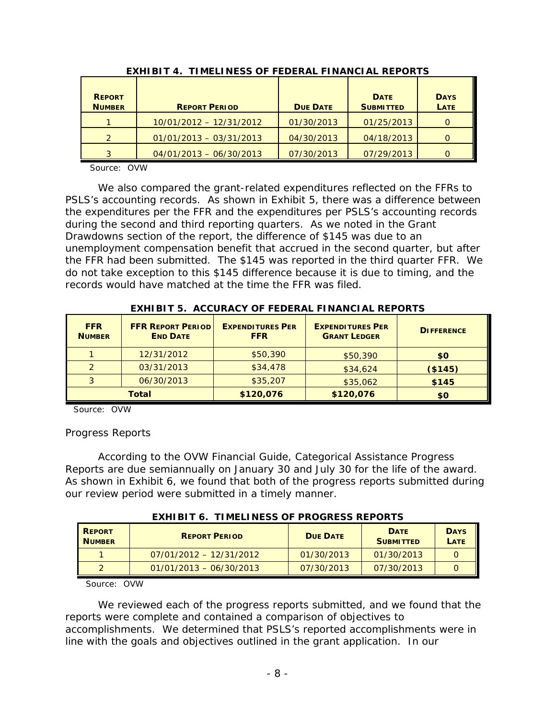| <b>REPORT</b><br><b>NUMBER</b> | <b>REPORT PERIOD</b>      | <b>DUE DATE</b> | <b>DATE</b><br><b>SUBMITTED</b> | <b>DAYS</b><br><b>LATE</b> |
|--------------------------------|---------------------------|-----------------|---------------------------------|----------------------------|
|                                | $10/01/2012 - 12/31/2012$ | 01/30/2013      | 01/25/2013                      |                            |
|                                | $01/01/2013 - 03/31/2013$ | 04/30/2013      | 04/18/2013                      |                            |
|                                | $04/01/2013 - 06/30/2013$ | 07/30/2013      | 07/29/2013                      |                            |

 **EXHIBIT 4. TIMELINESS OF FEDERAL FINANCIAL REPORTS** 

Source: OVW

 PSLS's accounting records. As shown in Exhibit 5, there was a difference between during the second and third reporting quarters. As we noted in the Grant the FFR had been submitted. The \$145 was reported in the third quarter FFR. We We also compared the grant-related expenditures reflected on the FFRs to the expenditures per the FFR and the expenditures per PSLS's accounting records Drawdowns section of the report, the difference of \$145 was due to an unemployment compensation benefit that accrued in the second quarter, but after do not take exception to this \$145 difference because it is due to timing, and the records would have matched at the time the FFR was filed.

| <b>FFR</b><br><b>NUMBER</b> | <b>FFR REPORT PERIOD</b><br><b>END DATE</b> | <b>EXPENDITURES PER</b><br><b>FFR</b> | <b>EXPENDITURES PER</b><br><b>GRANT LEDGER</b> | <b>DIFFERENCE</b> |
|-----------------------------|---------------------------------------------|---------------------------------------|------------------------------------------------|-------------------|
|                             | 12/31/2012                                  | \$50,390                              | \$50,390                                       | \$0               |
| 2                           | 03/31/2013                                  | \$34,478                              | \$34,624                                       | (\$145)           |
| 3                           | 06/30/2013                                  | \$35,207                              | \$35,062                                       | \$145             |
|                             | <b>Total</b>                                | \$120,076                             | \$120,076                                      | \$0               |

 **EXHIBIT 5. ACCURACY OF FEDERAL FINANCIAL REPORTS** 

Source: OVW

## *Progress Reports*

 Reports are due semiannually on January 30 and July 30 for the life of the award. As shown in Exhibit 6, we found that both of the progress reports submitted during our review period were submitted in a timely manner. According to the OVW Financial Guide, Categorical Assistance Progress

| <b>REPORT</b><br><b>NUMBER</b> | <b>REPORT PERIOD</b>      | <b>DUE DATE</b> | <b>DATE</b><br><b>SUBMITTED</b> | <b>DAYS</b><br>LATE |
|--------------------------------|---------------------------|-----------------|---------------------------------|---------------------|
|                                | $07/01/2012 - 12/31/2012$ | 01/30/2013      | 01/30/2013                      |                     |
|                                | $01/01/2013 - 06/30/2013$ | 07/30/2013      | 07/30/2013                      |                     |

 **EXHIBIT 6. TIMELINESS OF PROGRESS REPORTS** 

Source: OVW

 accomplishments. We determined that PSLS's reported accomplishments were in line with the goals and objectives outlined in the grant application. In our We reviewed each of the progress reports submitted, and we found that the reports were complete and contained a comparison of objectives to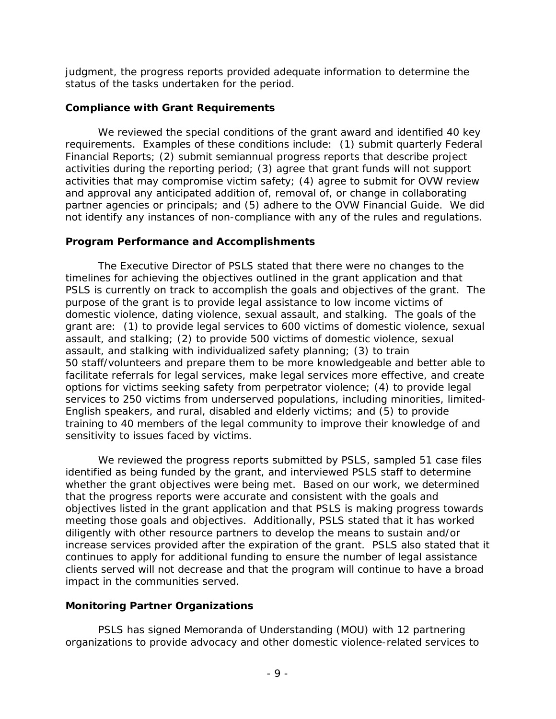judgment, the progress reports provided adequate information to determine the status of the tasks undertaken for the period.

### <span id="page-11-0"></span>**Compliance with Grant Requirements**

 Financial Reports; (2) submit semiannual progress reports that describe project activities during the reporting period; (3) agree that grant funds will not support activities that may compromise victim safety; (4) agree to submit for OVW review partner agencies or principals; and (5) adhere to the OVW Financial Guide. We did not identify any instances of non-compliance with any of the rules and regulations. We reviewed the special conditions of the grant award and identified 40 key requirements. Examples of these conditions include: (1) submit quarterly Federal and approval any anticipated addition of, removal of, or change in collaborating

## <span id="page-11-1"></span>**Program Performance and Accomplishments**

 The Executive Director of PSLS stated that there were no changes to the timelines for achieving the objectives outlined in the grant application and that grant are: (1) to provide legal services to 600 victims of domestic violence, sexual assault, and stalking; (2) to provide 500 victims of domestic violence, sexual options for victims seeking safety from perpetrator violence; (4) to provide legal English speakers, and rural, disabled and elderly victims; and (5) to provide training to 40 members of the legal community to improve their knowledge of and sensitivity to issues faced by victims. PSLS is currently on track to accomplish the goals and objectives of the grant. The purpose of the grant is to provide legal assistance to low income victims of domestic violence, dating violence, sexual assault, and stalking. The goals of the assault, and stalking with individualized safety planning; (3) to train 50 staff/volunteers and prepare them to be more knowledgeable and better able to facilitate referrals for legal services, make legal services more effective, and create services to 250 victims from underserved populations, including minorities, limited-

 whether the grant objectives were being met. Based on our work, we determined increase services provided after the expiration of the grant. PSLS also stated that it clients served will not decrease and that the program will continue to have a broad We reviewed the progress reports submitted by PSLS, sampled 51 case files identified as being funded by the grant, and interviewed PSLS staff to determine that the progress reports were accurate and consistent with the goals and objectives listed in the grant application and that PSLS is making progress towards meeting those goals and objectives. Additionally, PSLS stated that it has worked diligently with other resource partners to develop the means to sustain and/or continues to apply for additional funding to ensure the number of legal assistance impact in the communities served.

## <span id="page-11-2"></span>**Monitoring Partner Organizations**

 PSLS has signed Memoranda of Understanding (MOU) with 12 partnering organizations to provide advocacy and other domestic violence-related services to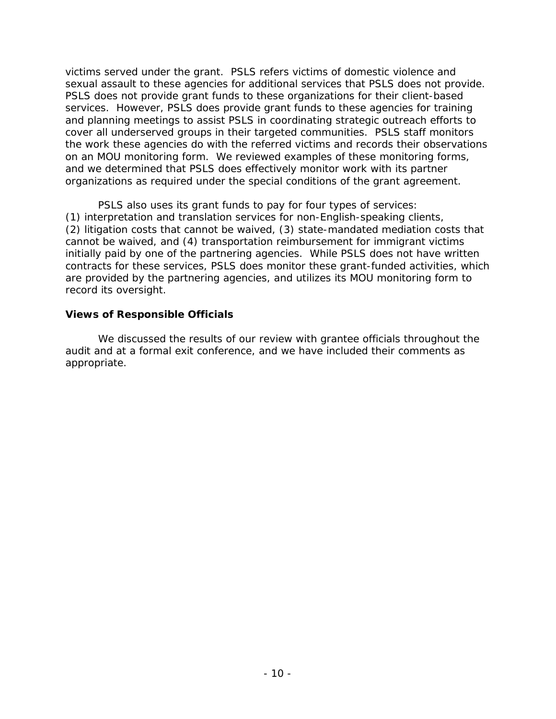victims served under the grant. PSLS refers victims of domestic violence and sexual assault to these agencies for additional services that PSLS does not provide. services. However, PSLS does provide grant funds to these agencies for training cover all underserved groups in their targeted communities. PSLS staff monitors the work these agencies do with the referred victims and records their observations PSLS does not provide grant funds to these organizations for their client-based and planning meetings to assist PSLS in coordinating strategic outreach efforts to on an MOU monitoring form. We reviewed examples of these monitoring forms, and we determined that PSLS does effectively monitor work with its partner

organizations as required under the special conditions of the grant agreement.<br>PSLS also uses its grant funds to pay for four types of services: PSLS also uses its grant funds to pay for four types of services: cannot be waived, and (4) transportation reimbursement for immigrant victims initially paid by one of the partnering agencies. While PSLS does not have written (1) interpretation and translation services for non-English-speaking clients, (2) litigation costs that cannot be waived, (3) state-mandated mediation costs that contracts for these services, PSLS does monitor these grant-funded activities, which are provided by the partnering agencies, and utilizes its MOU monitoring form to record its oversight.

### <span id="page-12-0"></span>**Views of Responsible Officials**

We discussed the results of our review with grantee officials throughout the audit and at a formal exit conference, and we have included their comments as appropriate.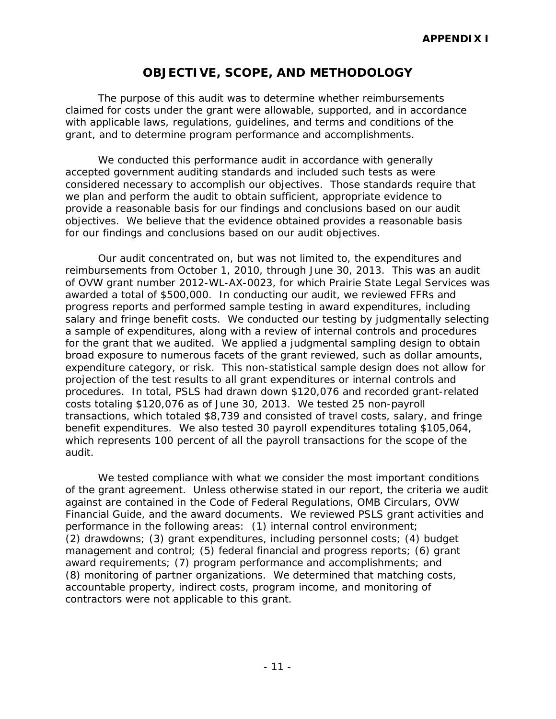## **OBJECTIVE, SCOPE, AND METHODOLOGY**

<span id="page-13-0"></span> with applicable laws, regulations, guidelines, and terms and conditions of the The purpose of this audit was to determine whether reimbursements claimed for costs under the grant were allowable, supported, and in accordance grant, and to determine program performance and accomplishments.

We conducted this performance audit in accordance with generally accepted government auditing standards and included such tests as were considered necessary to accomplish our objectives. Those standards require that we plan and perform the audit to obtain sufficient, appropriate evidence to provide a reasonable basis for our findings and conclusions based on our audit objectives. We believe that the evidence obtained provides a reasonable basis for our findings and conclusions based on our audit objectives.

 awarded a total of \$500,000. In conducting our audit, we reviewed FFRs and salary and fringe benefit costs. We conducted our testing by judgmentally selecting for the grant that we audited. We applied a judgmental sampling design to obtain expenditure category, or risk. This non-statistical sample design does not allow for procedures. In total, PSLS had drawn down \$120,076 and recorded grant-related costs totaling \$120,076 as of June 30, 2013. We tested 25 non-payroll transactions, which totaled \$8,739 and consisted of travel costs, salary, and fringe benefit expenditures. We also tested 30 payroll expenditures totaling \$105,064, which represents 100 percent of all the payroll transactions for the scope of the Our audit concentrated on, but was not limited to, the expenditures and reimbursements from October 1, 2010, through June 30, 2013. This was an audit of OVW grant number 2012-WL-AX-0023, for which Prairie State Legal Services was progress reports and performed sample testing in award expenditures, including a sample of expenditures, along with a review of internal controls and procedures broad exposure to numerous facets of the grant reviewed, such as dollar amounts, projection of the test results to all grant expenditures or internal controls and audit.

 of the grant agreement. Unless otherwise stated in our report, the criteria we audit against are contained in the Code of Federal Regulations, OMB Circulars, OVW Financial Guide, and the award documents. We reviewed PSLS grant activities and (2) drawdowns; (3) grant expenditures, including personnel costs; (4) budget management and control; (5) federal financial and progress reports; (6) grant accountable property, indirect costs, program income, and monitoring of contractors were not applicable to this grant.<br>-<br>- 11 -We tested compliance with what we consider the most important conditions performance in the following areas: (1) internal control environment; award requirements; (7) program performance and accomplishments; and (8) monitoring of partner organizations. We determined that matching costs,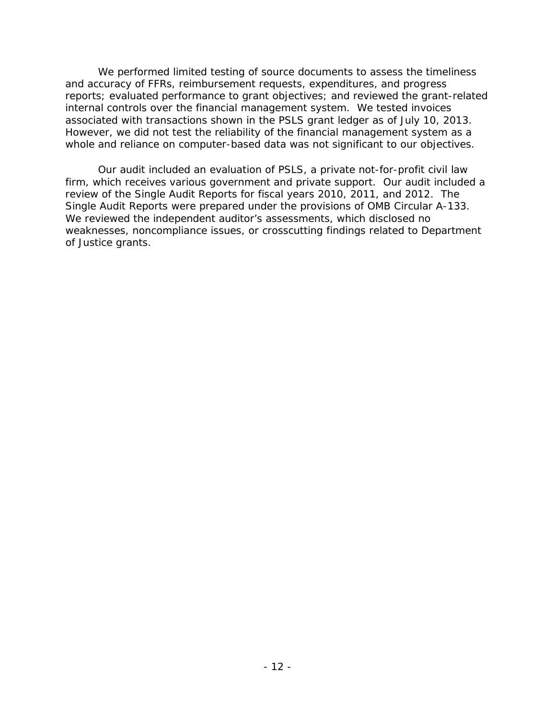associated with transactions shown in the PSLS grant ledger as of July 10, 2013. whole and reliance on computer-based data was not significant to our objectives. We performed limited testing of source documents to assess the timeliness and accuracy of FFRs, reimbursement requests, expenditures, and progress reports; evaluated performance to grant objectives; and reviewed the grant-related internal controls over the financial management system. We tested invoices However, we did not test the reliability of the financial management system as a

 review of the Single Audit Reports for fiscal years 2010, 2011, and 2012. The Single Audit Reports were prepared under the provisions of OMB Circular A-133. Our audit included an evaluation of PSLS, a private not-for-profit civil law firm, which receives various government and private support. Our audit included a We reviewed the independent auditor's assessments, which disclosed no weaknesses, noncompliance issues, or crosscutting findings related to Department of Justice grants.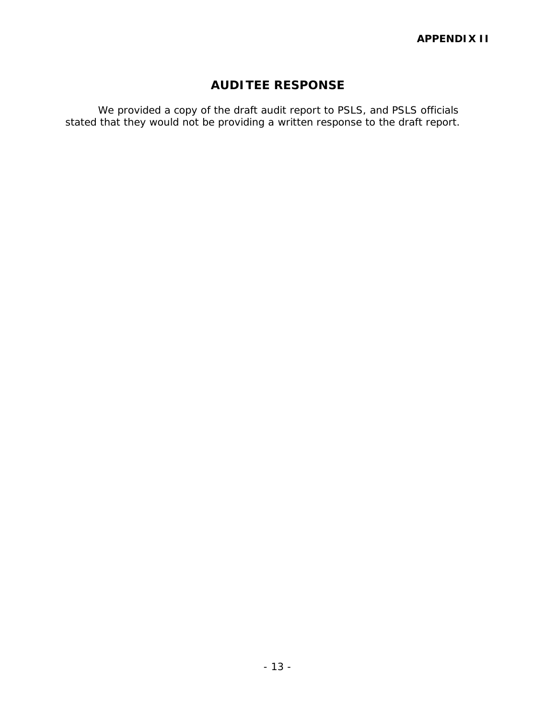## **AUDITEE RESPONSE**

<span id="page-15-0"></span>We provided a copy of the draft audit report to PSLS, and PSLS officials stated that they would not be providing a written response to the draft report.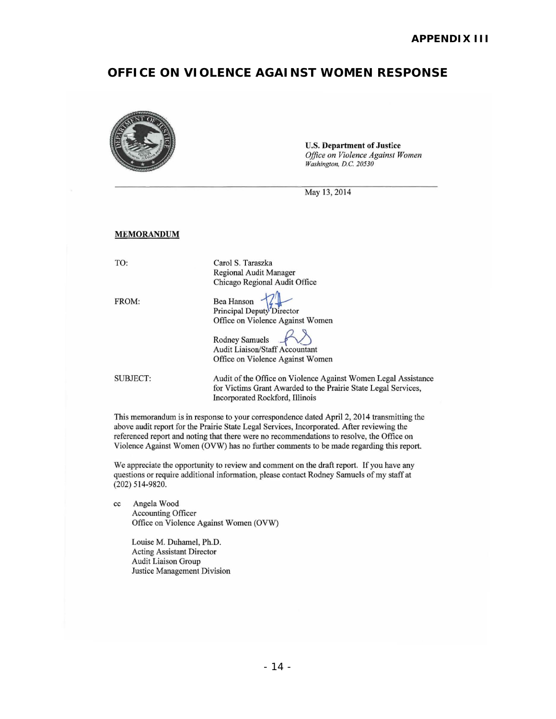# <span id="page-16-0"></span>**OFFICE ON VIOLENCE AGAINST WOMEN RESPONSE**

|                                                                                                                                                               | <b>U.S. Department of Justice</b><br>Office on Violence Against Women<br>Washington, D.C. 20530                                                                                                                                                                                                                                                                                 |
|---------------------------------------------------------------------------------------------------------------------------------------------------------------|---------------------------------------------------------------------------------------------------------------------------------------------------------------------------------------------------------------------------------------------------------------------------------------------------------------------------------------------------------------------------------|
|                                                                                                                                                               | May 13, 2014                                                                                                                                                                                                                                                                                                                                                                    |
| <b>MEMORANDUM</b>                                                                                                                                             |                                                                                                                                                                                                                                                                                                                                                                                 |
| TO:                                                                                                                                                           | Carol S. Taraszka<br>Regional Audit Manager<br>Chicago Regional Audit Office                                                                                                                                                                                                                                                                                                    |
| FROM:                                                                                                                                                         | Bea Hanson<br>Principal Deputy Director<br>Office on Violence Against Women<br>Rodney Samuels<br>Audit Liaison/Staff Accountant<br>Office on Violence Against Women                                                                                                                                                                                                             |
| SUBJECT:                                                                                                                                                      | Audit of the Office on Violence Against Women Legal Assistance<br>for Victims Grant Awarded to the Prairie State Legal Services,<br>Incorporated Rockford, Illinois                                                                                                                                                                                                             |
|                                                                                                                                                               | This memorandum is in response to your correspondence dated April 2, 2014 transmitting the<br>above audit report for the Prairie State Legal Services, Incorporated. After reviewing the<br>referenced report and noting that there were no recommendations to resolve, the Office on<br>Violence Against Women (OVW) has no further comments to be made regarding this report. |
| $(202)$ 514-9820.                                                                                                                                             | We appreciate the opportunity to review and comment on the draft report. If you have any<br>questions or require additional information, please contact Rodney Samuels of my staff at                                                                                                                                                                                           |
| Angela Wood<br>cc<br>Accounting Officer<br>Louise M. Duhamel, Ph.D.<br><b>Acting Assistant Director</b><br>Audit Liaison Group<br>Justice Management Division | Office on Violence Against Women (OVW)                                                                                                                                                                                                                                                                                                                                          |